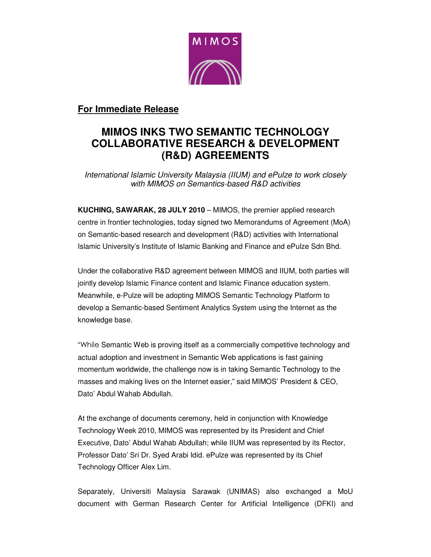

## **For Immediate Release**

# **MIMOS INKS TWO SEMANTIC TECHNOLOGY COLLABORATIVE RESEARCH & DEVELOPMENT (R&D) AGREEMENTS**

International Islamic University Malaysia (IIUM) and ePulze to work closely with MIMOS on Semantics-based R&D activities

**KUCHING, SAWARAK, 28 JULY 2010** – MIMOS, the premier applied research centre in frontier technologies, today signed two Memorandums of Agreement (MoA) on Semantic-based research and development (R&D) activities with International Islamic University's Institute of Islamic Banking and Finance and ePulze Sdn Bhd.

Under the collaborative R&D agreement between MIMOS and IIUM, both parties will jointly develop Islamic Finance content and Islamic Finance education system. Meanwhile, e-Pulze will be adopting MIMOS Semantic Technology Platform to develop a Semantic-based Sentiment Analytics System using the Internet as the knowledge base.

"While Semantic Web is proving itself as a commercially competitive technology and actual adoption and investment in Semantic Web applications is fast gaining momentum worldwide, the challenge now is in taking Semantic Technology to the masses and making lives on the Internet easier," said MIMOS' President & CEO, Dato' Abdul Wahab Abdullah.

At the exchange of documents ceremony, held in conjunction with Knowledge Technology Week 2010, MIMOS was represented by its President and Chief Executive, Dato' Abdul Wahab Abdullah; while IIUM was represented by its Rector, Professor Dato' Sri Dr. Syed Arabi Idid. ePulze was represented by its Chief Technology Officer Alex Lim.

Separately, Universiti Malaysia Sarawak (UNIMAS) also exchanged a MoU document with German Research Center for Artificial Intelligence (DFKI) and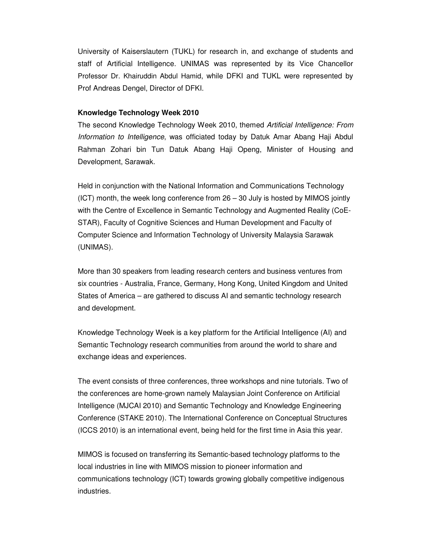University of Kaiserslautern (TUKL) for research in, and exchange of students and staff of Artificial Intelligence. UNIMAS was represented by its Vice Chancellor Professor Dr. Khairuddin Abdul Hamid, while DFKI and TUKL were represented by Prof Andreas Dengel, Director of DFKI.

#### **Knowledge Technology Week 2010**

The second Knowledge Technology Week 2010, themed Artificial Intelligence: From Information to Intelligence, was officiated today by Datuk Amar Abang Haji Abdul Rahman Zohari bin Tun Datuk Abang Haji Openg, Minister of Housing and Development, Sarawak.

Held in conjunction with the National Information and Communications Technology (ICT) month, the week long conference from 26 – 30 July is hosted by MIMOS jointly with the Centre of Excellence in Semantic Technology and Augmented Reality (CoE-STAR), Faculty of Cognitive Sciences and Human Development and Faculty of Computer Science and Information Technology of University Malaysia Sarawak (UNIMAS).

More than 30 speakers from leading research centers and business ventures from six countries - Australia, France, Germany, Hong Kong, United Kingdom and United States of America – are gathered to discuss AI and semantic technology research and development.

Knowledge Technology Week is a key platform for the Artificial Intelligence (AI) and Semantic Technology research communities from around the world to share and exchange ideas and experiences.

The event consists of three conferences, three workshops and nine tutorials. Two of the conferences are home-grown namely Malaysian Joint Conference on Artificial Intelligence (MJCAI 2010) and Semantic Technology and Knowledge Engineering Conference (STAKE 2010). The International Conference on Conceptual Structures (ICCS 2010) is an international event, being held for the first time in Asia this year.

MIMOS is focused on transferring its Semantic-based technology platforms to the local industries in line with MIMOS mission to pioneer information and communications technology (ICT) towards growing globally competitive indigenous industries.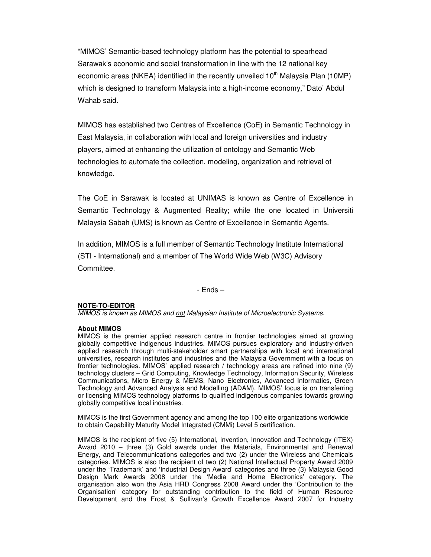"MIMOS' Semantic-based technology platform has the potential to spearhead Sarawak's economic and social transformation in line with the 12 national key economic areas (NKEA) identified in the recently unveiled  $10<sup>th</sup>$  Malaysia Plan (10MP) which is designed to transform Malaysia into a high-income economy," Dato' Abdul Wahab said.

MIMOS has established two Centres of Excellence (CoE) in Semantic Technology in East Malaysia, in collaboration with local and foreign universities and industry players, aimed at enhancing the utilization of ontology and Semantic Web technologies to automate the collection, modeling, organization and retrieval of knowledge.

The CoE in Sarawak is located at UNIMAS is known as Centre of Excellence in Semantic Technology & Augmented Reality; while the one located in Universiti Malaysia Sabah (UMS) is known as Centre of Excellence in Semantic Agents.

In addition, MIMOS is a full member of Semantic Technology Institute International (STI - International) and a member of The World Wide Web (W3C) Advisory Committee.

- Ends –

### **NOTE-TO-EDITOR**

MIMOS is known as MIMOS and not Malaysian Institute of Microelectronic Systems.

#### **About MIMOS**

MIMOS is the premier applied research centre in frontier technologies aimed at growing globally competitive indigenous industries. MIMOS pursues exploratory and industry-driven applied research through multi-stakeholder smart partnerships with local and international universities, research institutes and industries and the Malaysia Government with a focus on frontier technologies. MIMOS' applied research / technology areas are refined into nine (9) technology clusters – Grid Computing, Knowledge Technology, Information Security, Wireless Communications, Micro Energy & MEMS, Nano Electronics, Advanced Informatics, Green Technology and Advanced Analysis and Modelling (ADAM). MIMOS' focus is on transferring or licensing MIMOS technology platforms to qualified indigenous companies towards growing globally competitive local industries.

MIMOS is the first Government agency and among the top 100 elite organizations worldwide to obtain Capability Maturity Model Integrated (CMMi) Level 5 certification.

MIMOS is the recipient of five (5) International, Invention, Innovation and Technology (ITEX) Award 2010 – three (3) Gold awards under the Materials, Environmental and Renewal Energy, and Telecommunications categories and two (2) under the Wireless and Chemicals categories. MIMOS is also the recipient of two (2) National Intellectual Property Award 2009 under the 'Trademark' and 'Industrial Design Award' categories and three (3) Malaysia Good Design Mark Awards 2008 under the 'Media and Home Electronics' category. The organisation also won the Asia HRD Congress 2008 Award under the 'Contribution to the Organisation' category for outstanding contribution to the field of Human Resource Development and the Frost & Sullivan's Growth Excellence Award 2007 for Industry